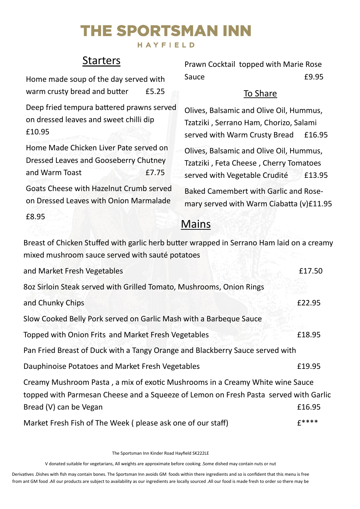# The Sportsman Inn

#### HAYFIELD

### **Starters**

| Home made soup of the day served with |       |
|---------------------------------------|-------|
| warm crusty bread and butter          | £5.25 |

Deep fried tempura battered prawns served on dressed leaves and sweet chilli dip £10.95

Home Made Chicken Liver Pate served on Dressed Leaves and Gooseberry Chutney and Warm Toast **E7.75** 

Goats Cheese with Hazelnut Crumb served on Dressed Leaves with Onion Marmalade

£8.95

Prawn Cocktail topped with Marie Rose Sauce **E9.95** 

### To Share

Olives, Balsamic and Olive Oil, Hummus, Tzatziki , Serrano Ham, Chorizo, Salami served with Warm Crusty Bread £16.95

Olives, Balsamic and Olive Oil, Hummus, Tzatziki , Feta Cheese , Cherry Tomatoes served with Vegetable Crudité £13.95

Baked Camembert with Garlic and Rosemary served with Warm Ciabatta (v)£11.95

### Mains

Breast of Chicken Stuffed with garlic herb butter wrapped in Serrano Ham laid on a creamy mixed mushroom sauce served with sauté potatoes

| and Market Fresh Vegetables                                                                                                                                                                     | £17.50  |
|-------------------------------------------------------------------------------------------------------------------------------------------------------------------------------------------------|---------|
| 802 Sirloin Steak served with Grilled Tomato, Mushrooms, Onion Rings                                                                                                                            |         |
| and Chunky Chips                                                                                                                                                                                | £22.95  |
| Slow Cooked Belly Pork served on Garlic Mash with a Barbeque Sauce                                                                                                                              |         |
| Topped with Onion Frits and Market Fresh Vegetables                                                                                                                                             | £18.95  |
| Pan Fried Breast of Duck with a Tangy Orange and Blackberry Sauce served with                                                                                                                   |         |
| Dauphinoise Potatoes and Market Fresh Vegetables                                                                                                                                                | £19.95  |
| Creamy Mushroom Pasta, a mix of exotic Mushrooms in a Creamy White wine Sauce<br>topped with Parmesan Cheese and a Squeeze of Lemon on Fresh Pasta served with Garlic<br>Bread (V) can be Vegan | £16.95  |
| Market Fresh Fish of The Week (please ask one of our staff)                                                                                                                                     | $f****$ |

The Sportsman Inn Kinder Road Hayfield SK222LE

V donated suitable for vegetarians, All weights are approximate before cooking .Some dished may contain nuts or nut

Derivatives .Dishes with fish may contain bones. The Sportsman Inn avoids GM foods within there ingredients and so is confident that this menu is free from ant GM food .All our products are subject to availability as our ingredients are locally sourced .All our food is made fresh to order so there may be